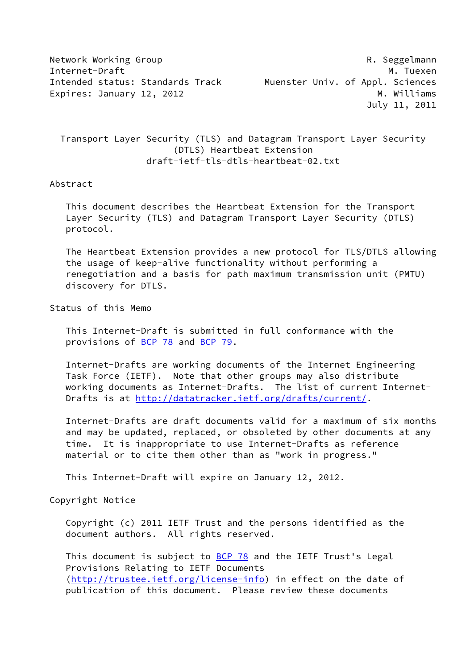| Network Working Group            | R. Seggelmann                    |
|----------------------------------|----------------------------------|
| Internet-Draft                   | M. Tuexen                        |
| Intended status: Standards Track | Muenster Univ. of Appl. Sciences |
| Expires: January 12, 2012        | M. Williams                      |
|                                  | July 11, 2011                    |

 Transport Layer Security (TLS) and Datagram Transport Layer Security (DTLS) Heartbeat Extension draft-ietf-tls-dtls-heartbeat-02.txt

### Abstract

 This document describes the Heartbeat Extension for the Transport Layer Security (TLS) and Datagram Transport Layer Security (DTLS) protocol.

 The Heartbeat Extension provides a new protocol for TLS/DTLS allowing the usage of keep-alive functionality without performing a renegotiation and a basis for path maximum transmission unit (PMTU) discovery for DTLS.

Status of this Memo

 This Internet-Draft is submitted in full conformance with the provisions of [BCP 78](https://datatracker.ietf.org/doc/pdf/bcp78) and [BCP 79](https://datatracker.ietf.org/doc/pdf/bcp79).

 Internet-Drafts are working documents of the Internet Engineering Task Force (IETF). Note that other groups may also distribute working documents as Internet-Drafts. The list of current Internet- Drafts is at<http://datatracker.ietf.org/drafts/current/>.

 Internet-Drafts are draft documents valid for a maximum of six months and may be updated, replaced, or obsoleted by other documents at any time. It is inappropriate to use Internet-Drafts as reference material or to cite them other than as "work in progress."

This Internet-Draft will expire on January 12, 2012.

Copyright Notice

 Copyright (c) 2011 IETF Trust and the persons identified as the document authors. All rights reserved.

This document is subject to **[BCP 78](https://datatracker.ietf.org/doc/pdf/bcp78)** and the IETF Trust's Legal Provisions Relating to IETF Documents [\(http://trustee.ietf.org/license-info](http://trustee.ietf.org/license-info)) in effect on the date of publication of this document. Please review these documents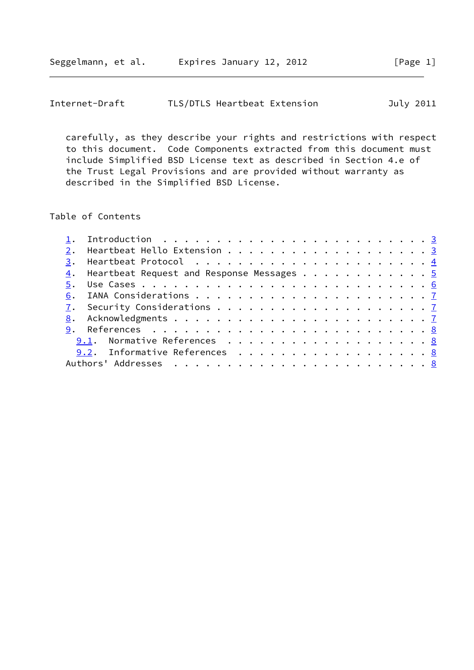| Internet-Draft |  |  | TLS/DTLS Heartbeat Extension |  | July 2011 |
|----------------|--|--|------------------------------|--|-----------|
|----------------|--|--|------------------------------|--|-----------|

 carefully, as they describe your rights and restrictions with respect to this document. Code Components extracted from this document must include Simplified BSD License text as described in Section 4.e of the Trust Legal Provisions and are provided without warranty as described in the Simplified BSD License.

### Table of Contents

|  | 1. Introduction $\ldots \ldots \ldots \ldots \ldots \ldots \ldots \ldots \ldots \frac{3}{2}$ |  |
|--|----------------------------------------------------------------------------------------------|--|
|  | 2. Heartbeat Hello Extension 3                                                               |  |
|  |                                                                                              |  |
|  | 4. Heartbeat Request and Response Messages 5                                                 |  |
|  |                                                                                              |  |
|  |                                                                                              |  |
|  |                                                                                              |  |
|  |                                                                                              |  |
|  |                                                                                              |  |
|  | 9.1. Normative References 8                                                                  |  |
|  | 9.2. Informative References 8                                                                |  |
|  |                                                                                              |  |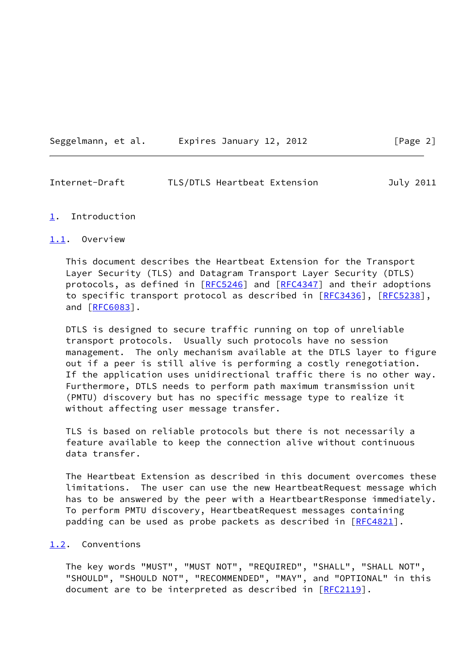| Seggelmann, et al. |  | Expires January 12, 2012 |  |  |
|--------------------|--|--------------------------|--|--|
|                    |  |                          |  |  |

# $\lceil \text{Page 2} \rceil$

## <span id="page-2-1"></span>Internet-Draft TLS/DTLS Heartbeat Extension July 2011

#### <span id="page-2-0"></span>[1](#page-2-0). Introduction

# <span id="page-2-2"></span>[1.1](#page-2-2). Overview

 This document describes the Heartbeat Extension for the Transport Layer Security (TLS) and Datagram Transport Layer Security (DTLS) protocols, as defined in [\[RFC5246](https://datatracker.ietf.org/doc/pdf/rfc5246)] and [\[RFC4347](https://datatracker.ietf.org/doc/pdf/rfc4347)] and their adoptions to specific transport protocol as described in [\[RFC3436](https://datatracker.ietf.org/doc/pdf/rfc3436)], [[RFC5238](https://datatracker.ietf.org/doc/pdf/rfc5238)], and [\[RFC6083](https://datatracker.ietf.org/doc/pdf/rfc6083)].

 DTLS is designed to secure traffic running on top of unreliable transport protocols. Usually such protocols have no session management. The only mechanism available at the DTLS layer to figure out if a peer is still alive is performing a costly renegotiation. If the application uses unidirectional traffic there is no other way. Furthermore, DTLS needs to perform path maximum transmission unit (PMTU) discovery but has no specific message type to realize it without affecting user message transfer.

 TLS is based on reliable protocols but there is not necessarily a feature available to keep the connection alive without continuous data transfer.

 The Heartbeat Extension as described in this document overcomes these limitations. The user can use the new HeartbeatRequest message which has to be answered by the peer with a HeartbeartResponse immediately. To perform PMTU discovery, HeartbeatRequest messages containing padding can be used as probe packets as described in [\[RFC4821](https://datatracker.ietf.org/doc/pdf/rfc4821)].

#### <span id="page-2-3"></span>[1.2](#page-2-3). Conventions

 The key words "MUST", "MUST NOT", "REQUIRED", "SHALL", "SHALL NOT", "SHOULD", "SHOULD NOT", "RECOMMENDED", "MAY", and "OPTIONAL" in this document are to be interpreted as described in [\[RFC2119](https://datatracker.ietf.org/doc/pdf/rfc2119)].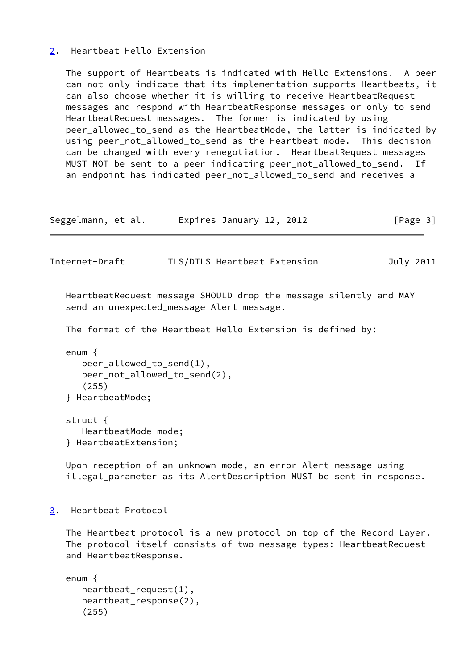## <span id="page-3-0"></span>[2](#page-3-0). Heartbeat Hello Extension

 The support of Heartbeats is indicated with Hello Extensions. A peer can not only indicate that its implementation supports Heartbeats, it can also choose whether it is willing to receive HeartbeatRequest messages and respond with HeartbeatResponse messages or only to send HeartbeatRequest messages. The former is indicated by using peer\_allowed\_to\_send as the HeartbeatMode, the latter is indicated by using peer\_not\_allowed\_to\_send as the Heartbeat mode. This decision can be changed with every renegotiation. HeartbeatRequest messages MUST NOT be sent to a peer indicating peer\_not\_allowed\_to\_send. If an endpoint has indicated peer\_not\_allowed\_to\_send and receives a

| Seggelmann, et al. | Expires January 12, 2012 | [Page 3] |
|--------------------|--------------------------|----------|
|--------------------|--------------------------|----------|

<span id="page-3-2"></span>Internet-Draft TLS/DTLS Heartbeat Extension July 2011

 HeartbeatRequest message SHOULD drop the message silently and MAY send an unexpected\_message Alert message.

The format of the Heartbeat Hello Extension is defined by:

```
 enum {
   peer_allowed_to_send(1),
   peer_not_allowed_to_send(2),
   (255)
} HeartbeatMode;
```
 struct { HeartbeatMode mode; } HeartbeatExtension;

 Upon reception of an unknown mode, an error Alert message using illegal\_parameter as its AlertDescription MUST be sent in response.

<span id="page-3-1"></span>[3](#page-3-1). Heartbeat Protocol

 The Heartbeat protocol is a new protocol on top of the Record Layer. The protocol itself consists of two message types: HeartbeatRequest and HeartbeatResponse.

```
 enum {
   heartbeat_request(1),
   heartbeat_response(2),
   (255)
```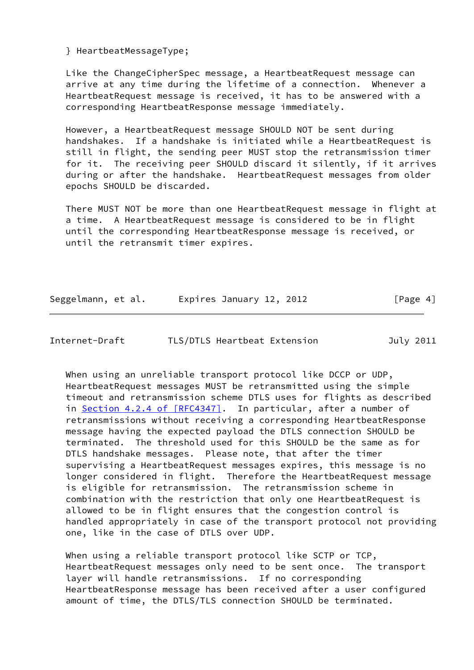} HeartbeatMessageType;

 Like the ChangeCipherSpec message, a HeartbeatRequest message can arrive at any time during the lifetime of a connection. Whenever a HeartbeatRequest message is received, it has to be answered with a corresponding HeartbeatResponse message immediately.

 However, a HeartbeatRequest message SHOULD NOT be sent during handshakes. If a handshake is initiated while a HeartbeatRequest is still in flight, the sending peer MUST stop the retransmission timer for it. The receiving peer SHOULD discard it silently, if it arrives during or after the handshake. HeartbeatRequest messages from older epochs SHOULD be discarded.

 There MUST NOT be more than one HeartbeatRequest message in flight at a time. A HeartbeatRequest message is considered to be in flight until the corresponding HeartbeatResponse message is received, or until the retransmit timer expires.

Seggelmann, et al. Expires January 12, 2012 [Page 4]

<span id="page-4-0"></span>Internet-Draft TLS/DTLS Heartbeat Extension July 2011

 When using an unreliable transport protocol like DCCP or UDP, HeartbeatRequest messages MUST be retransmitted using the simple timeout and retransmission scheme DTLS uses for flights as described in Section [4.2.4 of \[RFC4347\].](https://datatracker.ietf.org/doc/pdf/rfc4347#section-4.2.4) In particular, after a number of retransmissions without receiving a corresponding HeartbeatResponse message having the expected payload the DTLS connection SHOULD be terminated. The threshold used for this SHOULD be the same as for DTLS handshake messages. Please note, that after the timer supervising a HeartbeatRequest messages expires, this message is no longer considered in flight. Therefore the HeartbeatRequest message is eligible for retransmission. The retransmission scheme in combination with the restriction that only one HeartbeatRequest is allowed to be in flight ensures that the congestion control is handled appropriately in case of the transport protocol not providing one, like in the case of DTLS over UDP.

 When using a reliable transport protocol like SCTP or TCP, HeartbeatRequest messages only need to be sent once. The transport layer will handle retransmissions. If no corresponding HeartbeatResponse message has been received after a user configured amount of time, the DTLS/TLS connection SHOULD be terminated.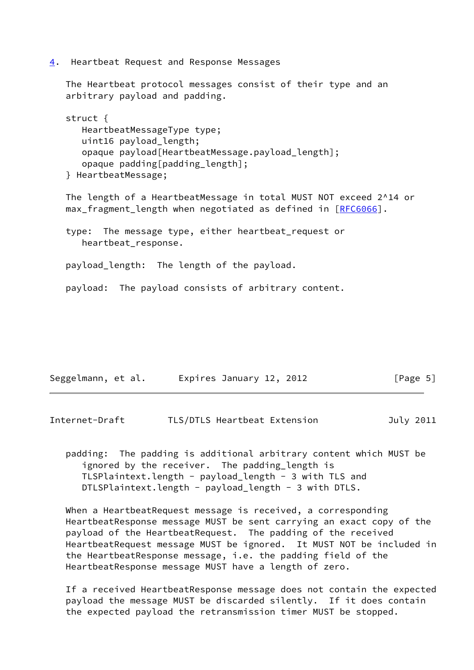<span id="page-5-0"></span>[4](#page-5-0). Heartbeat Request and Response Messages

 The Heartbeat protocol messages consist of their type and an arbitrary payload and padding.

```
 struct {
   HeartbeatMessageType type;
  uint16 payload_length;
   opaque payload[HeartbeatMessage.payload_length];
   opaque padding[padding_length];
} HeartbeatMessage;
```
 The length of a HeartbeatMessage in total MUST NOT exceed 2^14 or max\_fragment\_length when negotiated as defined in [[RFC6066](https://datatracker.ietf.org/doc/pdf/rfc6066)].

 type: The message type, either heartbeat\_request or heartbeat\_response.

payload\_length: The length of the payload.

payload: The payload consists of arbitrary content.

| Seggelmann, et al. | Expires January 12, 2012 | [Page 5] |
|--------------------|--------------------------|----------|
|--------------------|--------------------------|----------|

<span id="page-5-1"></span>Internet-Draft TLS/DTLS Heartbeat Extension July 2011

 padding: The padding is additional arbitrary content which MUST be ignored by the receiver. The padding\_length is TLSPlaintext.length - payload\_length - 3 with TLS and DTLSPlaintext.length - payload\_length - 3 with DTLS.

 When a HeartbeatRequest message is received, a corresponding HeartbeatResponse message MUST be sent carrying an exact copy of the payload of the HeartbeatRequest. The padding of the received HeartbeatRequest message MUST be ignored. It MUST NOT be included in the HeartbeatResponse message, i.e. the padding field of the HeartbeatResponse message MUST have a length of zero.

 If a received HeartbeatResponse message does not contain the expected payload the message MUST be discarded silently. If it does contain the expected payload the retransmission timer MUST be stopped.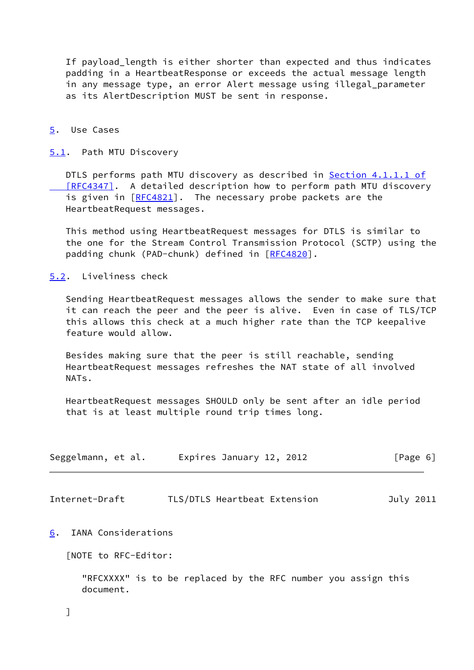If payload\_length is either shorter than expected and thus indicates padding in a HeartbeatResponse or exceeds the actual message length in any message type, an error Alert message using illegal\_parameter as its AlertDescription MUST be sent in response.

#### <span id="page-6-0"></span>[5](#page-6-0). Use Cases

### <span id="page-6-3"></span>[5.1](#page-6-3). Path MTU Discovery

DTLS performs path MTU discovery as described in Section [4.1.1.1 of](https://datatracker.ietf.org/doc/pdf/rfc4347#section-4.1.1.1) [RFC4347]. A detailed description how to perform path MTU discovery is given in [\[RFC4821](https://datatracker.ietf.org/doc/pdf/rfc4821)]. The necessary probe packets are the HeartbeatRequest messages.

 This method using HeartbeatRequest messages for DTLS is similar to the one for the Stream Control Transmission Protocol (SCTP) using the padding chunk (PAD-chunk) defined in [\[RFC4820](https://datatracker.ietf.org/doc/pdf/rfc4820)].

### <span id="page-6-4"></span>[5.2](#page-6-4). Liveliness check

 Sending HeartbeatRequest messages allows the sender to make sure that it can reach the peer and the peer is alive. Even in case of TLS/TCP this allows this check at a much higher rate than the TCP keepalive feature would allow.

 Besides making sure that the peer is still reachable, sending HeartbeatRequest messages refreshes the NAT state of all involved NATs.

 HeartbeatRequest messages SHOULD only be sent after an idle period that is at least multiple round trip times long.

| Seggelmann, et al. |  | Expires January 12, 2012 | [Page 6] |  |
|--------------------|--|--------------------------|----------|--|
|                    |  |                          |          |  |

<span id="page-6-2"></span>Internet-Draft TLS/DTLS Heartbeat Extension July 2011

#### <span id="page-6-1"></span>[6](#page-6-1). IANA Considerations

[NOTE to RFC-Editor:

 "RFCXXXX" is to be replaced by the RFC number you assign this document.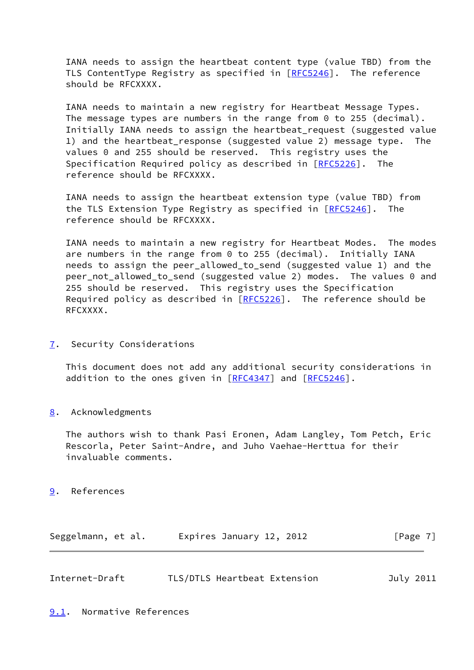IANA needs to assign the heartbeat content type (value TBD) from the TLS ContentType Registry as specified in [\[RFC5246](https://datatracker.ietf.org/doc/pdf/rfc5246)]. The reference should be RFCXXXX.

 IANA needs to maintain a new registry for Heartbeat Message Types. The message types are numbers in the range from 0 to 255 (decimal). Initially IANA needs to assign the heartbeat\_request (suggested value 1) and the heartbeat\_response (suggested value 2) message type. The values 0 and 255 should be reserved. This registry uses the Specification Required policy as described in [[RFC5226](https://datatracker.ietf.org/doc/pdf/rfc5226)]. The reference should be RFCXXXX.

 IANA needs to assign the heartbeat extension type (value TBD) from the TLS Extension Type Registry as specified in [\[RFC5246](https://datatracker.ietf.org/doc/pdf/rfc5246)]. The reference should be RFCXXXX.

 IANA needs to maintain a new registry for Heartbeat Modes. The modes are numbers in the range from 0 to 255 (decimal). Initially IANA needs to assign the peer\_allowed\_to\_send (suggested value 1) and the peer\_not\_allowed\_to\_send (suggested value 2) modes. The values 0 and 255 should be reserved. This registry uses the Specification Required policy as described in [\[RFC5226](https://datatracker.ietf.org/doc/pdf/rfc5226)]. The reference should be RFCXXXX.

<span id="page-7-0"></span>[7](#page-7-0). Security Considerations

 This document does not add any additional security considerations in addition to the ones given in [[RFC4347](https://datatracker.ietf.org/doc/pdf/rfc4347)] and [\[RFC5246](https://datatracker.ietf.org/doc/pdf/rfc5246)].

<span id="page-7-1"></span>[8](#page-7-1). Acknowledgments

 The authors wish to thank Pasi Eronen, Adam Langley, Tom Petch, Eric Rescorla, Peter Saint-Andre, and Juho Vaehae-Herttua for their invaluable comments.

<span id="page-7-2"></span>[9](#page-7-2). References

| Seggelmann, et al. |  | Expires January 12, 2012 | [Page 7] |
|--------------------|--|--------------------------|----------|
|--------------------|--|--------------------------|----------|

<span id="page-7-4"></span><span id="page-7-3"></span>

| Internet-Draft | TLS/DTLS Heartbeat Extension | July 2011 |  |
|----------------|------------------------------|-----------|--|
|                |                              |           |  |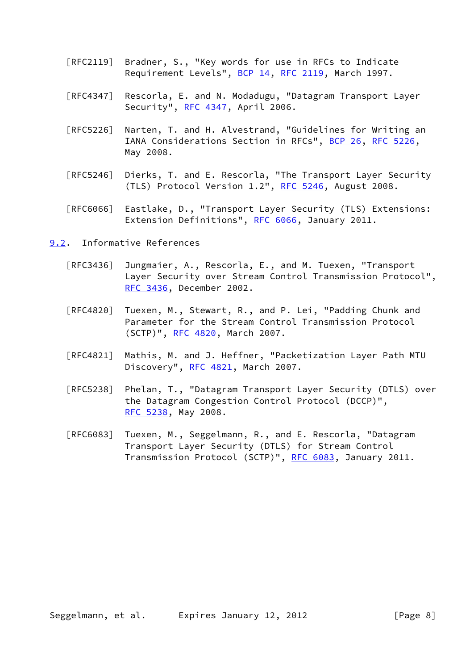- [RFC2119] Bradner, S., "Key words for use in RFCs to Indicate Requirement Levels", [BCP 14](https://datatracker.ietf.org/doc/pdf/bcp14), [RFC 2119](https://datatracker.ietf.org/doc/pdf/rfc2119), March 1997.
- [RFC4347] Rescorla, E. and N. Modadugu, "Datagram Transport Layer Security", [RFC 4347](https://datatracker.ietf.org/doc/pdf/rfc4347), April 2006.
- [RFC5226] Narten, T. and H. Alvestrand, "Guidelines for Writing an IANA Considerations Section in RFCs", [BCP 26](https://datatracker.ietf.org/doc/pdf/bcp26), [RFC 5226](https://datatracker.ietf.org/doc/pdf/rfc5226), May 2008.
- [RFC5246] Dierks, T. and E. Rescorla, "The Transport Layer Security (TLS) Protocol Version 1.2", [RFC 5246](https://datatracker.ietf.org/doc/pdf/rfc5246), August 2008.
- [RFC6066] Eastlake, D., "Transport Layer Security (TLS) Extensions: Extension Definitions", [RFC 6066,](https://datatracker.ietf.org/doc/pdf/rfc6066) January 2011.
- <span id="page-8-0"></span>[9.2](#page-8-0). Informative References
	- [RFC3436] Jungmaier, A., Rescorla, E., and M. Tuexen, "Transport Layer Security over Stream Control Transmission Protocol", [RFC 3436,](https://datatracker.ietf.org/doc/pdf/rfc3436) December 2002.
	- [RFC4820] Tuexen, M., Stewart, R., and P. Lei, "Padding Chunk and Parameter for the Stream Control Transmission Protocol (SCTP)", [RFC 4820,](https://datatracker.ietf.org/doc/pdf/rfc4820) March 2007.
	- [RFC4821] Mathis, M. and J. Heffner, "Packetization Layer Path MTU Discovery", [RFC 4821,](https://datatracker.ietf.org/doc/pdf/rfc4821) March 2007.
	- [RFC5238] Phelan, T., "Datagram Transport Layer Security (DTLS) over the Datagram Congestion Control Protocol (DCCP)", [RFC 5238,](https://datatracker.ietf.org/doc/pdf/rfc5238) May 2008.
	- [RFC6083] Tuexen, M., Seggelmann, R., and E. Rescorla, "Datagram Transport Layer Security (DTLS) for Stream Control Transmission Protocol (SCTP)", [RFC 6083](https://datatracker.ietf.org/doc/pdf/rfc6083), January 2011.